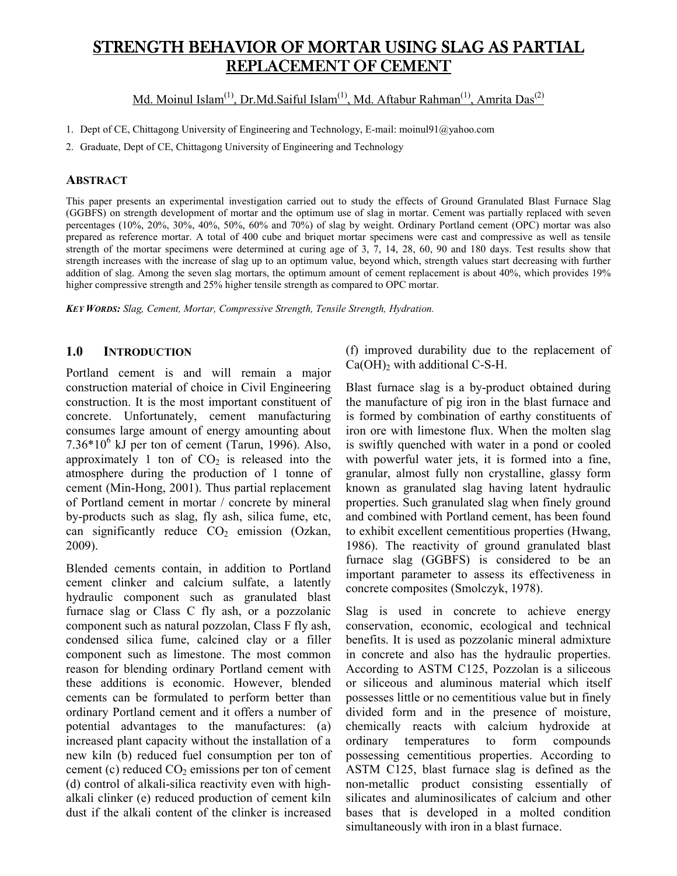# STRENGTH BEHAVIOR OF MORTAR USING SLAG AS PARTIAL REPLACEMENT OF CEMENT

Md. Moinul Islam<sup>(1)</sup>, Dr.Md.Saiful Islam<sup>(1)</sup>, Md. Aftabur Rahman<sup>(1)</sup>, Amrita Das<sup>(2)</sup>

1. Dept of CE, Chittagong University of Engineering and Technology, E-mail: moinul91@yahoo.com

2. Graduate, Dept of CE, Chittagong University of Engineering and Technology

#### **ABSTRACT**

This paper presents an experimental investigation carried out to study the effects of Ground Granulated Blast Furnace Slag (GGBFS) on strength development of mortar and the optimum use of slag in mortar. Cement was partially replaced with seven percentages (10%, 20%, 30%, 40%, 50%, 60% and 70%) of slag by weight. Ordinary Portland cement (OPC) mortar was also prepared as reference mortar. A total of 400 cube and briquet mortar specimens were cast and compressive as well as tensile strength of the mortar specimens were determined at curing age of 3, 7, 14, 28, 60, 90 and 180 days. Test results show that strength increases with the increase of slag up to an optimum value, beyond which, strength values start decreasing with further addition of slag. Among the seven slag mortars, the optimum amount of cement replacement is about 40%, which provides 19% higher compressive strength and 25% higher tensile strength as compared to OPC mortar.

*KEY WORDS: Slag, Cement, Mortar, Compressive Strength, Tensile Strength, Hydration.* 

### **1.0 INTRODUCTION**

Portland cement is and will remain a major construction material of choice in Civil Engineering construction. It is the most important constituent of concrete. Unfortunately, cement manufacturing consumes large amount of energy amounting about  $7.36*10<sup>6</sup>$  kJ per ton of cement (Tarun, 1996). Also, approximately 1 ton of  $CO<sub>2</sub>$  is released into the atmosphere during the production of 1 tonne of cement (Min-Hong, 2001). Thus partial replacement of Portland cement in mortar / concrete by mineral by-products such as slag, fly ash, silica fume, etc, can significantly reduce  $CO<sub>2</sub>$  emission (Ozkan, 2009).

Blended cements contain, in addition to Portland cement clinker and calcium sulfate, a latently hydraulic component such as granulated blast furnace slag or Class C fly ash, or a pozzolanic component such as natural pozzolan, Class F fly ash, condensed silica fume, calcined clay or a filler component such as limestone. The most common reason for blending ordinary Portland cement with these additions is economic. However, blended cements can be formulated to perform better than ordinary Portland cement and it offers a number of potential advantages to the manufactures: (a) increased plant capacity without the installation of a new kiln (b) reduced fuel consumption per ton of cement (c) reduced  $CO<sub>2</sub>$  emissions per ton of cement (d) control of alkali-silica reactivity even with highalkali clinker (e) reduced production of cement kiln dust if the alkali content of the clinker is increased

(f) improved durability due to the replacement of  $Ca(OH)$ <sub>2</sub> with additional C-S-H.

Blast furnace slag is a by-product obtained during the manufacture of pig iron in the blast furnace and is formed by combination of earthy constituents of iron ore with limestone flux. When the molten slag is swiftly quenched with water in a pond or cooled with powerful water jets, it is formed into a fine, granular, almost fully non crystalline, glassy form known as granulated slag having latent hydraulic properties. Such granulated slag when finely ground and combined with Portland cement, has been found to exhibit excellent cementitious properties (Hwang, 1986). The reactivity of ground granulated blast furnace slag (GGBFS) is considered to be an important parameter to assess its effectiveness in concrete composites (Smolczyk, 1978).

Slag is used in concrete to achieve energy conservation, economic, ecological and technical benefits. It is used as pozzolanic mineral admixture in concrete and also has the hydraulic properties. According to ASTM C125, Pozzolan is a siliceous or siliceous and aluminous material which itself possesses little or no cementitious value but in finely divided form and in the presence of moisture, chemically reacts with calcium hydroxide at ordinary temperatures to form compounds possessing cementitious properties. According to ASTM C125, blast furnace slag is defined as the non-metallic product consisting essentially of silicates and aluminosilicates of calcium and other bases that is developed in a molted condition simultaneously with iron in a blast furnace.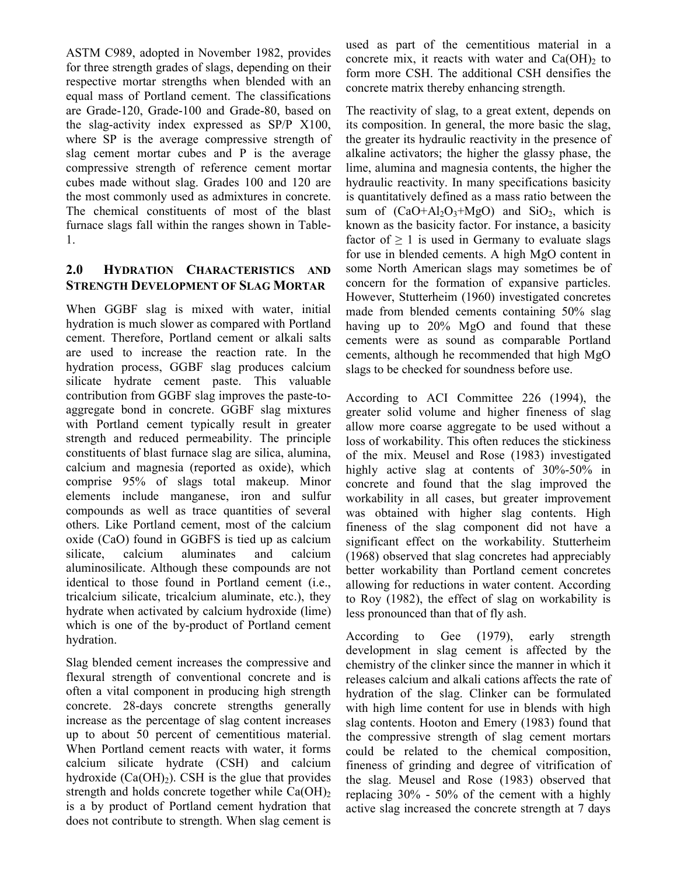ASTM C989, adopted in November 1982, provides for three strength grades of slags, depending on their respective mortar strengths when blended with an equal mass of Portland cement. The classifications are Grade-120, Grade-100 and Grade-80, based on the slag-activity index expressed as SP/P X100, where SP is the average compressive strength of slag cement mortar cubes and P is the average compressive strength of reference cement mortar cubes made without slag. Grades 100 and 120 are the most commonly used as admixtures in concrete. The chemical constituents of most of the blast furnace slags fall within the ranges shown in Table-1.

### **2.0 HYDRATION CHARACTERISTICS AND STRENGTH DEVELOPMENT OF SLAG MORTAR**

When GGBF slag is mixed with water, initial hydration is much slower as compared with Portland cement. Therefore, Portland cement or alkali salts are used to increase the reaction rate. In the hydration process, GGBF slag produces calcium silicate hydrate cement paste. This valuable contribution from GGBF slag improves the paste-toaggregate bond in concrete. GGBF slag mixtures with Portland cement typically result in greater strength and reduced permeability. The principle constituents of blast furnace slag are silica, alumina, calcium and magnesia (reported as oxide), which comprise 95% of slags total makeup. Minor elements include manganese, iron and sulfur compounds as well as trace quantities of several others. Like Portland cement, most of the calcium oxide (CaO) found in GGBFS is tied up as calcium silicate, calcium aluminates and calcium aluminosilicate. Although these compounds are not identical to those found in Portland cement (i.e., tricalcium silicate, tricalcium aluminate, etc.), they hydrate when activated by calcium hydroxide (lime) which is one of the by-product of Portland cement hydration.

Slag blended cement increases the compressive and flexural strength of conventional concrete and is often a vital component in producing high strength concrete. 28-days concrete strengths generally increase as the percentage of slag content increases up to about 50 percent of cementitious material. When Portland cement reacts with water, it forms calcium silicate hydrate (CSH) and calcium hydroxide  $(Ca(OH)_2)$ . CSH is the glue that provides strength and holds concrete together while  $Ca(OH)_2$ is a by product of Portland cement hydration that does not contribute to strength. When slag cement is

used as part of the cementitious material in a concrete mix, it reacts with water and  $Ca(OH)_2$  to form more CSH. The additional CSH densifies the concrete matrix thereby enhancing strength.

The reactivity of slag, to a great extent, depends on its composition. In general, the more basic the slag, the greater its hydraulic reactivity in the presence of alkaline activators; the higher the glassy phase, the lime, alumina and magnesia contents, the higher the hydraulic reactivity. In many specifications basicity is quantitatively defined as a mass ratio between the sum of  $(CaO+AI_2O_3+MgO)$  and  $SiO_2$ , which is known as the basicity factor. For instance, a basicity factor of  $\geq 1$  is used in Germany to evaluate slags for use in blended cements. A high MgO content in some North American slags may sometimes be of concern for the formation of expansive particles. However, Stutterheim (1960) investigated concretes made from blended cements containing 50% slag having up to 20% MgO and found that these cements were as sound as comparable Portland cements, although he recommended that high MgO slags to be checked for soundness before use.

According to ACI Committee 226 (1994), the greater solid volume and higher fineness of slag allow more coarse aggregate to be used without a loss of workability. This often reduces the stickiness of the mix. Meusel and Rose (1983) investigated highly active slag at contents of 30%-50% in concrete and found that the slag improved the workability in all cases, but greater improvement was obtained with higher slag contents. High fineness of the slag component did not have a significant effect on the workability. Stutterheim (1968) observed that slag concretes had appreciably better workability than Portland cement concretes allowing for reductions in water content. According to Roy (1982), the effect of slag on workability is less pronounced than that of fly ash.

According to Gee (1979), early strength development in slag cement is affected by the chemistry of the clinker since the manner in which it releases calcium and alkali cations affects the rate of hydration of the slag. Clinker can be formulated with high lime content for use in blends with high slag contents. Hooton and Emery (1983) found that the compressive strength of slag cement mortars could be related to the chemical composition, fineness of grinding and degree of vitrification of the slag. Meusel and Rose (1983) observed that replacing 30% - 50% of the cement with a highly active slag increased the concrete strength at 7 days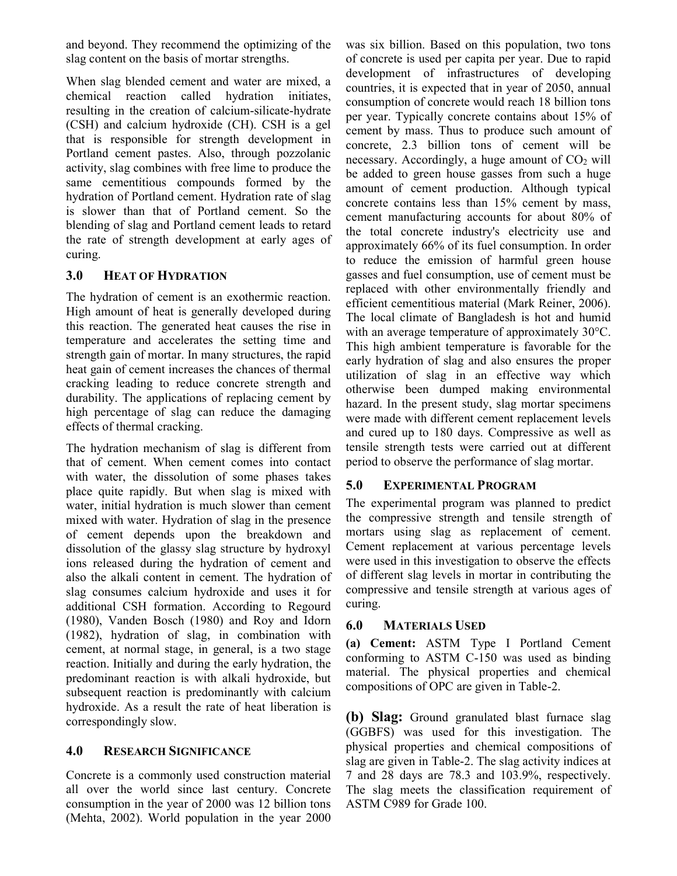and beyond. They recommend the optimizing of the slag content on the basis of mortar strengths.

When slag blended cement and water are mixed, a chemical reaction called hydration initiates, resulting in the creation of calcium-silicate-hydrate (CSH) and calcium hydroxide (CH). CSH is a gel that is responsible for strength development in Portland cement pastes. Also, through pozzolanic activity, slag combines with free lime to produce the same cementitious compounds formed by the hydration of Portland cement. Hydration rate of slag is slower than that of Portland cement. So the blending of slag and Portland cement leads to retard the rate of strength development at early ages of curing.

### **3.0 HEAT OF HYDRATION**

The hydration of cement is an exothermic reaction. High amount of heat is generally developed during this reaction. The generated heat causes the rise in temperature and accelerates the setting time and strength gain of mortar. In many structures, the rapid heat gain of cement increases the chances of thermal cracking leading to reduce concrete strength and durability. The applications of replacing cement by high percentage of slag can reduce the damaging effects of thermal cracking.

The hydration mechanism of slag is different from that of cement. When cement comes into contact with water, the dissolution of some phases takes place quite rapidly. But when slag is mixed with water, initial hydration is much slower than cement mixed with water. Hydration of slag in the presence of cement depends upon the breakdown and dissolution of the glassy slag structure by hydroxyl ions released during the hydration of cement and also the alkali content in cement. The hydration of slag consumes calcium hydroxide and uses it for additional CSH formation. According to Regourd (1980), Vanden Bosch (1980) and Roy and Idorn (1982), hydration of slag, in combination with cement, at normal stage, in general, is a two stage reaction. Initially and during the early hydration, the predominant reaction is with alkali hydroxide, but subsequent reaction is predominantly with calcium hydroxide. As a result the rate of heat liberation is correspondingly slow.

### **4.0 RESEARCH SIGNIFICANCE**

Concrete is a commonly used construction material all over the world since last century. Concrete consumption in the year of 2000 was 12 billion tons (Mehta, 2002). World population in the year 2000 was six billion. Based on this population, two tons of concrete is used per capita per year. Due to rapid development of infrastructures of developing countries, it is expected that in year of 2050, annual consumption of concrete would reach 18 billion tons per year. Typically concrete contains about 15% of cement by mass. Thus to produce such amount of concrete, 2.3 billion tons of cement will be necessary. Accordingly, a huge amount of  $CO<sub>2</sub>$  will be added to green house gasses from such a huge amount of cement production. Although typical concrete contains less than 15% cement by mass, cement manufacturing accounts for about 80% of the total concrete industry's electricity use and approximately 66% of its fuel consumption. In order to reduce the emission of harmful green house gasses and fuel consumption, use of cement must be replaced with other environmentally friendly and efficient cementitious material (Mark Reiner, 2006). The local climate of Bangladesh is hot and humid with an average temperature of approximately 30°C. This high ambient temperature is favorable for the early hydration of slag and also ensures the proper utilization of slag in an effective way which otherwise been dumped making environmental hazard. In the present study, slag mortar specimens were made with different cement replacement levels and cured up to 180 days. Compressive as well as tensile strength tests were carried out at different period to observe the performance of slag mortar.

## **5.0 EXPERIMENTAL PROGRAM**

The experimental program was planned to predict the compressive strength and tensile strength of mortars using slag as replacement of cement. Cement replacement at various percentage levels were used in this investigation to observe the effects of different slag levels in mortar in contributing the compressive and tensile strength at various ages of curing.

### **6.0 MATERIALS USED**

**(a) Cement:** ASTM Type I Portland Cement conforming to ASTM C-150 was used as binding material. The physical properties and chemical compositions of OPC are given in Table-2.

**(b) Slag:** Ground granulated blast furnace slag (GGBFS) was used for this investigation. The physical properties and chemical compositions of slag are given in Table-2. The slag activity indices at 7 and 28 days are 78.3 and 103.9%, respectively. The slag meets the classification requirement of ASTM C989 for Grade 100.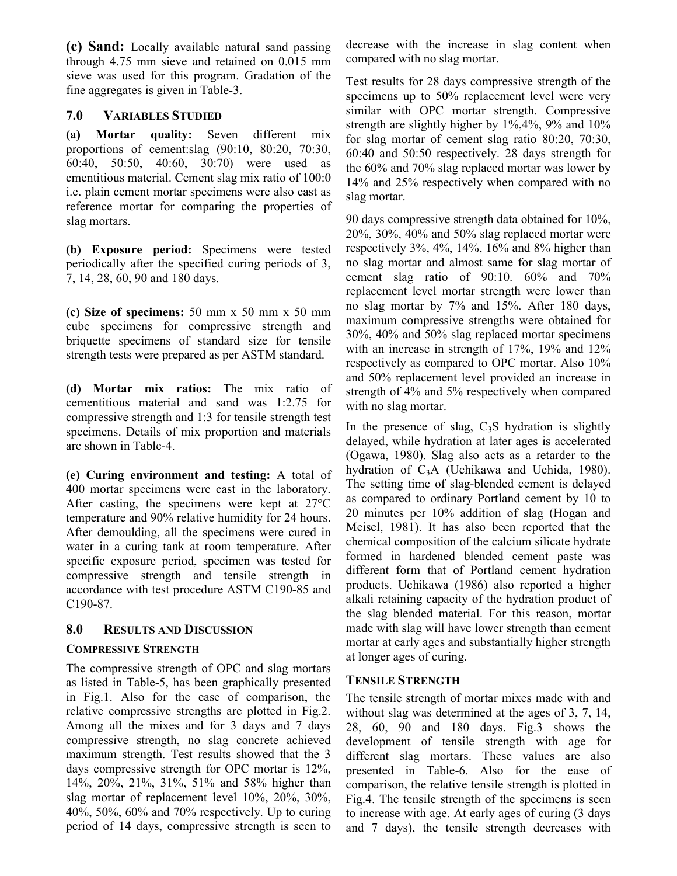**(c) Sand:** Locally available natural sand passing through 4.75 mm sieve and retained on 0.015 mm sieve was used for this program. Gradation of the fine aggregates is given in Table-3.

### **7.0 VARIABLES STUDIED**

**(a) Mortar quality:** Seven different mix proportions of cement:slag (90:10, 80:20, 70:30, 60:40, 50:50, 40:60, 30:70) were used as cmentitious material. Cement slag mix ratio of 100:0 i.e. plain cement mortar specimens were also cast as reference mortar for comparing the properties of slag mortars.

**(b) Exposure period:** Specimens were tested periodically after the specified curing periods of 3, 7, 14, 28, 60, 90 and 180 days.

**(c) Size of specimens:** 50 mm x 50 mm x 50 mm cube specimens for compressive strength and briquette specimens of standard size for tensile strength tests were prepared as per ASTM standard.

**(d) Mortar mix ratios:** The mix ratio of cementitious material and sand was 1:2.75 for compressive strength and 1:3 for tensile strength test specimens. Details of mix proportion and materials are shown in Table-4.

**(e) Curing environment and testing:** A total of 400 mortar specimens were cast in the laboratory. After casting, the specimens were kept at 27°C temperature and 90% relative humidity for 24 hours. After demoulding, all the specimens were cured in water in a curing tank at room temperature. After specific exposure period, specimen was tested for compressive strength and tensile strength in accordance with test procedure ASTM C190-85 and C190-87.

### **8.0 RESULTS AND DISCUSSION**

#### **COMPRESSIVE STRENGTH**

The compressive strength of OPC and slag mortars as listed in Table-5, has been graphically presented in Fig.1. Also for the ease of comparison, the relative compressive strengths are plotted in Fig.2. Among all the mixes and for 3 days and 7 days compressive strength, no slag concrete achieved maximum strength. Test results showed that the 3 days compressive strength for OPC mortar is 12%, 14%, 20%, 21%, 31%, 51% and 58% higher than slag mortar of replacement level 10%, 20%, 30%, 40%, 50%, 60% and 70% respectively. Up to curing period of 14 days, compressive strength is seen to decrease with the increase in slag content when compared with no slag mortar.

Test results for 28 days compressive strength of the specimens up to 50% replacement level were very similar with OPC mortar strength. Compressive strength are slightly higher by  $1\%$ ,  $4\%$ ,  $9\%$  and  $10\%$ for slag mortar of cement slag ratio 80:20, 70:30, 60:40 and 50:50 respectively. 28 days strength for the 60% and 70% slag replaced mortar was lower by 14% and 25% respectively when compared with no slag mortar.

90 days compressive strength data obtained for 10%, 20%, 30%, 40% and 50% slag replaced mortar were respectively 3%, 4%, 14%, 16% and 8% higher than no slag mortar and almost same for slag mortar of cement slag ratio of 90:10. 60% and 70% replacement level mortar strength were lower than no slag mortar by 7% and 15%. After 180 days, maximum compressive strengths were obtained for 30%, 40% and 50% slag replaced mortar specimens with an increase in strength of 17%, 19% and 12% respectively as compared to OPC mortar. Also 10% and 50% replacement level provided an increase in strength of 4% and 5% respectively when compared with no slag mortar.

In the presence of slag,  $C_3S$  hydration is slightly delayed, while hydration at later ages is accelerated (Ogawa, 1980). Slag also acts as a retarder to the hydration of C3A (Uchikawa and Uchida, 1980). The setting time of slag-blended cement is delayed as compared to ordinary Portland cement by 10 to 20 minutes per 10% addition of slag (Hogan and Meisel, 1981). It has also been reported that the chemical composition of the calcium silicate hydrate formed in hardened blended cement paste was different form that of Portland cement hydration products. Uchikawa (1986) also reported a higher alkali retaining capacity of the hydration product of the slag blended material. For this reason, mortar made with slag will have lower strength than cement mortar at early ages and substantially higher strength at longer ages of curing.

### **TENSILE STRENGTH**

The tensile strength of mortar mixes made with and without slag was determined at the ages of 3, 7, 14, 28, 60, 90 and 180 days. Fig.3 shows the development of tensile strength with age for different slag mortars. These values are also presented in Table-6. Also for the ease of comparison, the relative tensile strength is plotted in Fig.4. The tensile strength of the specimens is seen to increase with age. At early ages of curing (3 days and 7 days), the tensile strength decreases with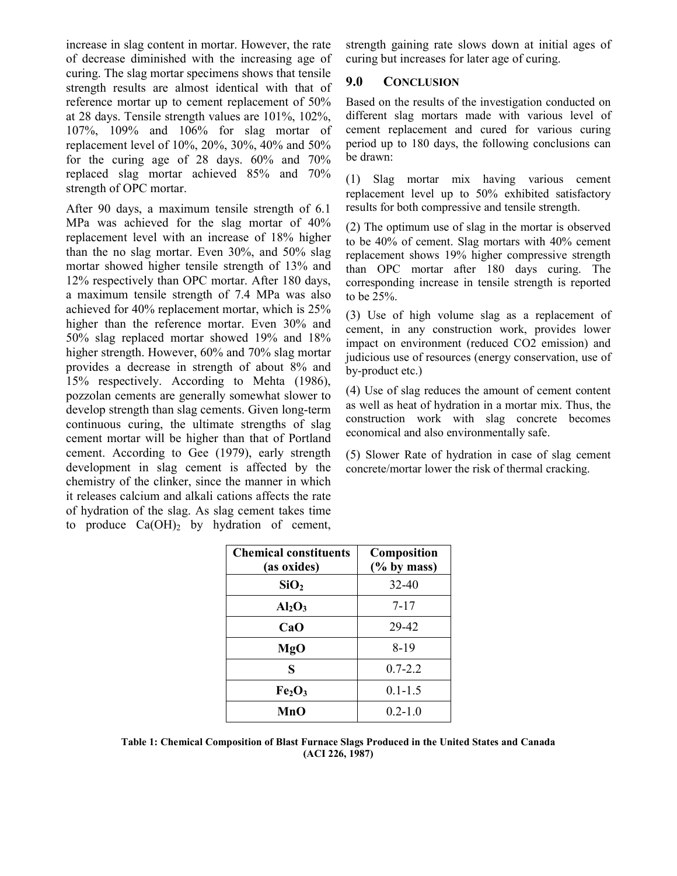increase in slag content in mortar. However, the rate of decrease diminished with the increasing age of curing. The slag mortar specimens shows that tensile strength results are almost identical with that of reference mortar up to cement replacement of 50% at 28 days. Tensile strength values are 101%, 102%, 107%, 109% and 106% for slag mortar of replacement level of 10%, 20%, 30%, 40% and 50% for the curing age of 28 days.  $60\%$  and  $70\%$ replaced slag mortar achieved 85% and 70% strength of OPC mortar.

After 90 days, a maximum tensile strength of 6.1 MPa was achieved for the slag mortar of 40% replacement level with an increase of 18% higher than the no slag mortar. Even 30%, and 50% slag mortar showed higher tensile strength of 13% and 12% respectively than OPC mortar. After 180 days, a maximum tensile strength of 7.4 MPa was also achieved for 40% replacement mortar, which is 25% higher than the reference mortar. Even 30% and 50% slag replaced mortar showed 19% and 18% higher strength. However, 60% and 70% slag mortar provides a decrease in strength of about 8% and 15% respectively. According to Mehta (1986), pozzolan cements are generally somewhat slower to develop strength than slag cements. Given long-term continuous curing, the ultimate strengths of slag cement mortar will be higher than that of Portland cement. According to Gee (1979), early strength development in slag cement is affected by the chemistry of the clinker, since the manner in which it releases calcium and alkali cations affects the rate of hydration of the slag. As slag cement takes time to produce  $Ca(OH)$ , by hydration of cement, strength gaining rate slows down at initial ages of curing but increases for later age of curing.

### **9.0 CONCLUSION**

Based on the results of the investigation conducted on different slag mortars made with various level of cement replacement and cured for various curing period up to 180 days, the following conclusions can be drawn:

(1) Slag mortar mix having various cement replacement level up to 50% exhibited satisfactory results for both compressive and tensile strength.

(2) The optimum use of slag in the mortar is observed to be 40% of cement. Slag mortars with 40% cement replacement shows 19% higher compressive strength than OPC mortar after 180 days curing. The corresponding increase in tensile strength is reported to be 25%.

(3) Use of high volume slag as a replacement of cement, in any construction work, provides lower impact on environment (reduced CO2 emission) and judicious use of resources (energy conservation, use of by-product etc.)

(4) Use of slag reduces the amount of cement content as well as heat of hydration in a mortar mix. Thus, the construction work with slag concrete becomes economical and also environmentally safe.

(5) Slower Rate of hydration in case of slag cement concrete/mortar lower the risk of thermal cracking.

| <b>Chemical constituents</b><br>(as oxides) | <b>Composition</b><br>$(\%$ by mass) |
|---------------------------------------------|--------------------------------------|
| SiO <sub>2</sub>                            | $32 - 40$                            |
| $Al_2O_3$                                   | $7 - 17$                             |
| CaO                                         | 29-42                                |
| MgO                                         | 8-19                                 |
| S                                           | $0.7 - 2.2$                          |
| Fe <sub>2</sub> O <sub>3</sub>              | $0.1 - 1.5$                          |
| MnO                                         | $0.2 - 1.0$                          |

**Table 1: Chemical Composition of Blast Furnace Slags Produced in the United States and Canada (ACI 226, 1987)**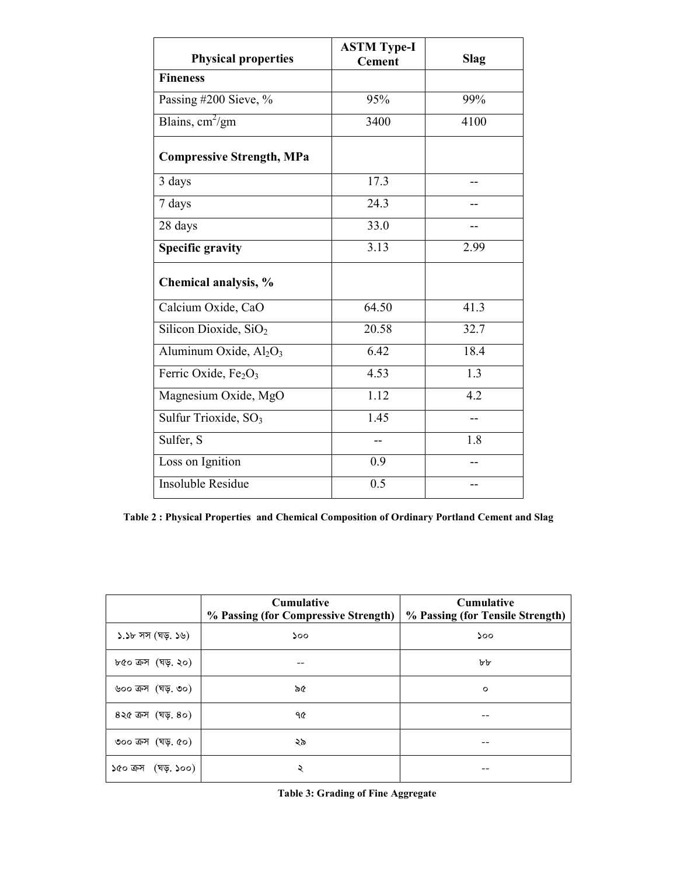| <b>Physical properties</b>                     | <b>ASTM Type-I</b><br><b>Cement</b> | Slag             |
|------------------------------------------------|-------------------------------------|------------------|
| <b>Fineness</b>                                |                                     |                  |
| Passing #200 Sieve, %                          | 95%                                 | 99%              |
| Blains, $\text{cm}^2/\text{gm}$                | 3400                                | 4100             |
| <b>Compressive Strength, MPa</b>               |                                     |                  |
| 3 days                                         | 17.3                                |                  |
| 7 days                                         | 24.3                                |                  |
| 28 days                                        | 33.0                                |                  |
| <b>Specific gravity</b>                        | 3.13                                | 2.99             |
| Chemical analysis, %                           |                                     |                  |
| Calcium Oxide, CaO                             | 64.50                               | 41.3             |
| Silicon Dioxide, SiO <sub>2</sub>              | 20.58                               | 32.7             |
| Aluminum Oxide, Al <sub>2</sub> O <sub>3</sub> | 6.42                                | 18.4             |
| Ferric Oxide, Fe <sub>2</sub> O <sub>3</sub>   | $\overline{4.53}$                   | $\overline{1.3}$ |
| Magnesium Oxide, MgO                           | 1.12                                | 4.2              |
| Sulfur Trioxide, SO <sub>3</sub>               | 1.45                                |                  |
| Sulfer, S                                      | --                                  | 1.8              |
| Loss on Ignition                               | 0.9                                 |                  |
| Insoluble Residue                              | 0.5                                 |                  |

**Table 2 : Physical Properties and Chemical Composition of Ordinary Portland Cement and Slag** 

|                                         | <b>Cumulative</b><br>% Passing (for Compressive Strength) | Cumulative<br>% Passing (for Tensile Strength) |  |  |  |  |
|-----------------------------------------|-----------------------------------------------------------|------------------------------------------------|--|--|--|--|
| ১.১৮ সস (ঘড়. ১৬)                       | ১০০                                                       | 500                                            |  |  |  |  |
| ৮৫০ ক্ৰস (ঘড়, ২০)                      |                                                           | bb                                             |  |  |  |  |
| ৬০০ ক্রস (ঘড়, ৩০)                      | ৯৫                                                        | $\circ$                                        |  |  |  |  |
| $82$ ৫ ক্রস (ঘড়, $80)$                 | ዓ৫                                                        |                                                |  |  |  |  |
| ৩০০ ক্রস $(\overline{q}, \overline{q})$ | ২৯                                                        |                                                |  |  |  |  |
| (ঘড়. ১০০)<br>১৫০ ক্ৰস                  | ২                                                         |                                                |  |  |  |  |

**Table 3: Grading of Fine Aggregate**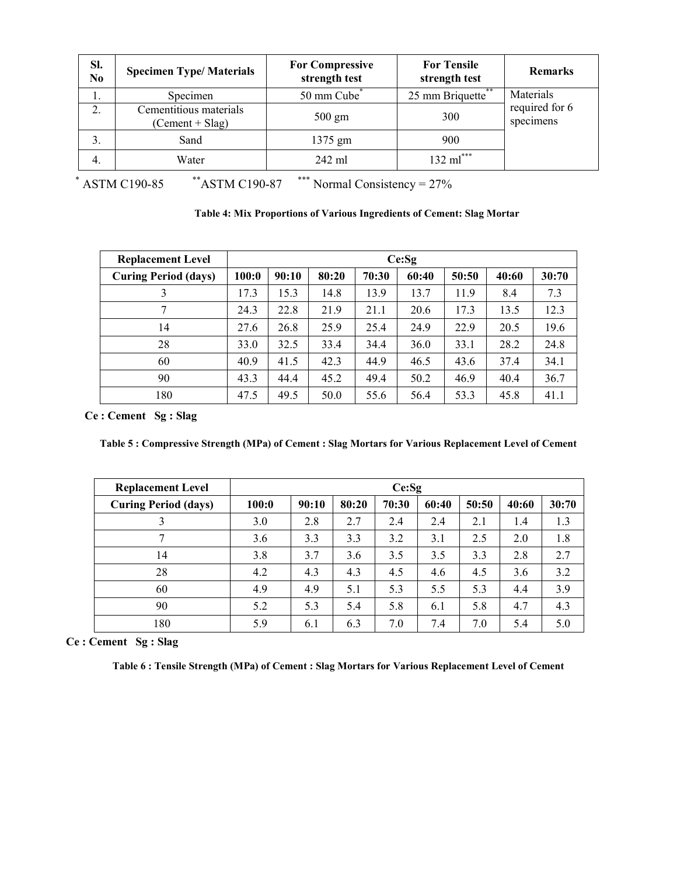| Sl.<br>N <sub>0</sub> | <b>Specimen Type/Materials</b>              | <b>For Compressive</b><br>strength test | <b>For Tensile</b><br>strength test | <b>Remarks</b>              |
|-----------------------|---------------------------------------------|-----------------------------------------|-------------------------------------|-----------------------------|
|                       | Specimen                                    | 50 mm Cube*                             | 25 mm Briquette**                   | Materials                   |
| 2.                    | Cementitious materials<br>$(Cement + Slag)$ | $500 \text{ gm}$                        | 300                                 | required for 6<br>specimens |
| 3.                    | Sand                                        | 1375 gm                                 | 900                                 |                             |
| -4.                   | Water                                       | $242$ ml                                | $132 \text{ ml}$ ***                |                             |

 $*$  ASTM C190-85  $*$ <sup>\*</sup>ASTM C190-87  $*$ <sup>\*\*\*</sup> Normal Consistency = 27%

| <b>Replacement Level</b>    | Ce:Sq |       |       |       |       |       |       |       |
|-----------------------------|-------|-------|-------|-------|-------|-------|-------|-------|
| <b>Curing Period (days)</b> | 100:0 | 90:10 | 80:20 | 70:30 | 60:40 | 50:50 | 40:60 | 30:70 |
| 3                           | 17.3  | 15.3  | 14.8  | 13.9  | 13.7  | 11.9  | 8.4   | 7.3   |
|                             | 24.3  | 22.8  | 21.9  | 21.1  | 20.6  | 17.3  | 13.5  | 12.3  |
| 14                          | 27.6  | 26.8  | 25.9  | 25.4  | 24.9  | 22.9  | 20.5  | 19.6  |
| 28                          | 33.0  | 32.5  | 33.4  | 34.4  | 36.0  | 33.1  | 28.2  | 24.8  |
| 60                          | 40.9  | 41.5  | 42.3  | 44.9  | 46.5  | 43.6  | 37.4  | 34.1  |
| 90                          | 43.3  | 44.4  | 45.2  | 49.4  | 50.2  | 46.9  | 40.4  | 36.7  |
| 180                         | 47.5  | 49.5  | 50.0  | 55.6  | 56.4  | 53.3  | 45.8  | 41.1  |

**Ce : Cement Sg : Slag** 

**Table 5 : Compressive Strength (MPa) of Cement : Slag Mortars for Various Replacement Level of Cement** 

| <b>Replacement Level</b>    | Ce:Sg |       |       |       |       |       |       |       |
|-----------------------------|-------|-------|-------|-------|-------|-------|-------|-------|
| <b>Curing Period (days)</b> | 100:0 | 90:10 | 80:20 | 70:30 | 60:40 | 50:50 | 40:60 | 30:70 |
| 3                           | 3.0   | 2.8   | 2.7   | 2.4   | 2.4   | 2.1   | 1.4   | 1.3   |
|                             | 3.6   | 3.3   | 3.3   | 3.2   | 3.1   | 2.5   | 2.0   | 1.8   |
| 14                          | 3.8   | 3.7   | 3.6   | 3.5   | 3.5   | 3.3   | 2.8   | 2.7   |
| 28                          | 4.2   | 4.3   | 4.3   | 4.5   | 4.6   | 4.5   | 3.6   | 3.2   |
| 60                          | 4.9   | 4.9   | 5.1   | 5.3   | 5.5   | 5.3   | 4.4   | 3.9   |
| 90                          | 5.2   | 5.3   | 5.4   | 5.8   | 6.1   | 5.8   | 4.7   | 4.3   |
| 180                         | 5.9   | 6.1   | 6.3   | 7.0   | 7.4   | 7.0   | 5.4   | 5.0   |

**Ce : Cement Sg : Slag** 

**Table 6 : Tensile Strength (MPa) of Cement : Slag Mortars for Various Replacement Level of Cement**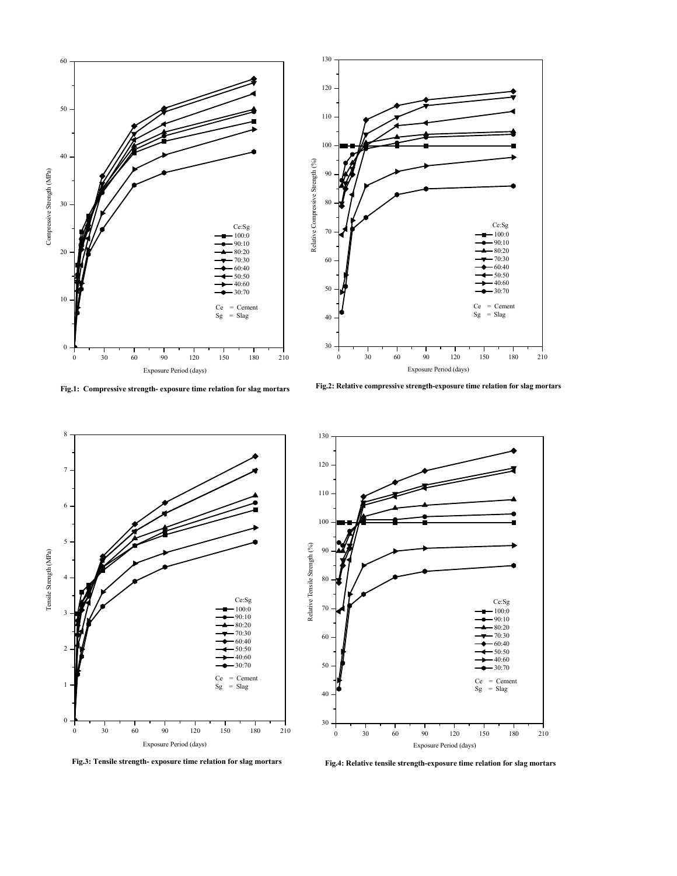





130



**Fig.4: Relative tensile strength-exposure time relation for slag mortars**